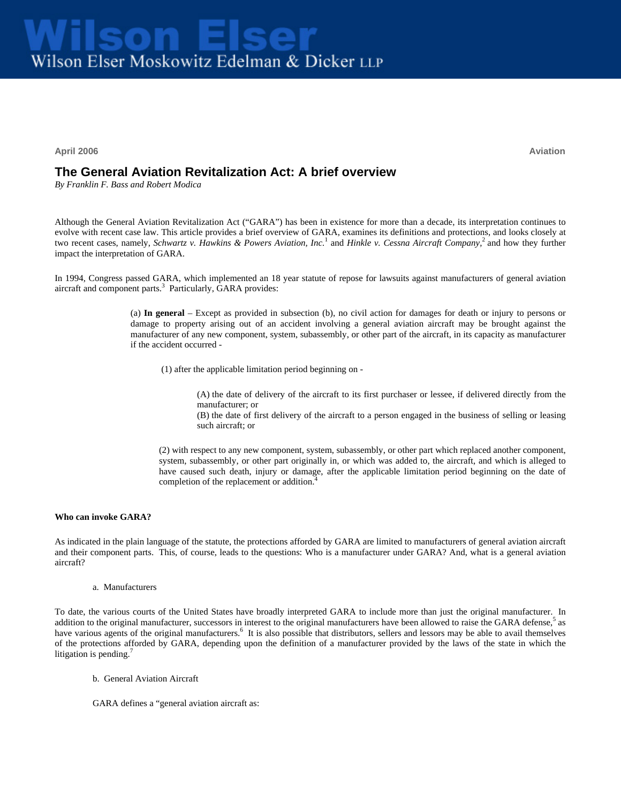**April 2006 Aviation**

# **The General Aviation Revitalization Act: A brief overview**

*By Franklin F. Bass and Robert Modica* 

Although the General Aviation Revitalization Act ("GARA") has been in existence for more than a decade, its interpretation continues to evolve with recent case law. This article provides a brief overview of GARA, examines its definitions and protections, and looks closely at two recent cases, namely, *Schwartz v. Hawkins & Powers Aviation, Inc.*<sup>1</sup> and *Hinkle v. Cessna Aircraft Company,*<sup>2</sup> and how they further impact the interpretation of GARA.

In 1994, Congress passed GARA, which implemented an 18 year statute of repose for lawsuits against manufacturers of general aviation aircraft and component parts.<sup>3</sup> Particularly, GARA provides:

> (a) **In general** – Except as provided in subsection (b), no civil action for damages for death or injury to persons or damage to property arising out of an accident involving a general aviation aircraft may be brought against the manufacturer of any new component, system, subassembly, or other part of the aircraft, in its capacity as manufacturer if the accident occurred -

(1) after the applicable limitation period beginning on -

(A) the date of delivery of the aircraft to its first purchaser or lessee, if delivered directly from the manufacturer; or

(B) the date of first delivery of the aircraft to a person engaged in the business of selling or leasing such aircraft; or

(2) with respect to any new component, system, subassembly, or other part which replaced another component, system, subassembly, or other part originally in, or which was added to, the aircraft, and which is alleged to have caused such death, injury or damage, after the applicable limitation period beginning on the date of completion of the replacement or addition.<sup>4</sup>

## **Who can invoke GARA?**

As indicated in the plain language of the statute, the protections afforded by GARA are limited to manufacturers of general aviation aircraft and their component parts. This, of course, leads to the questions: Who is a manufacturer under GARA? And, what is a general aviation aircraft?

a. Manufacturers

To date, the various courts of the United States have broadly interpreted GARA to include more than just the original manufacturer. In addition to the original manufacturer, successors in interest to the original manufacturers have been allowed to raise the GARA defense,<sup>5</sup> as have various agents of the original manufacturers. It is also possible that distributors, sellers and lessors may be able to avail themselves of the protections afforded by GARA, depending upon the definition of a manufacturer provided by the laws of the state in which the litigation is pending. $\frac{7}{2}$ 

b. General Aviation Aircraft

GARA defines a "general aviation aircraft as: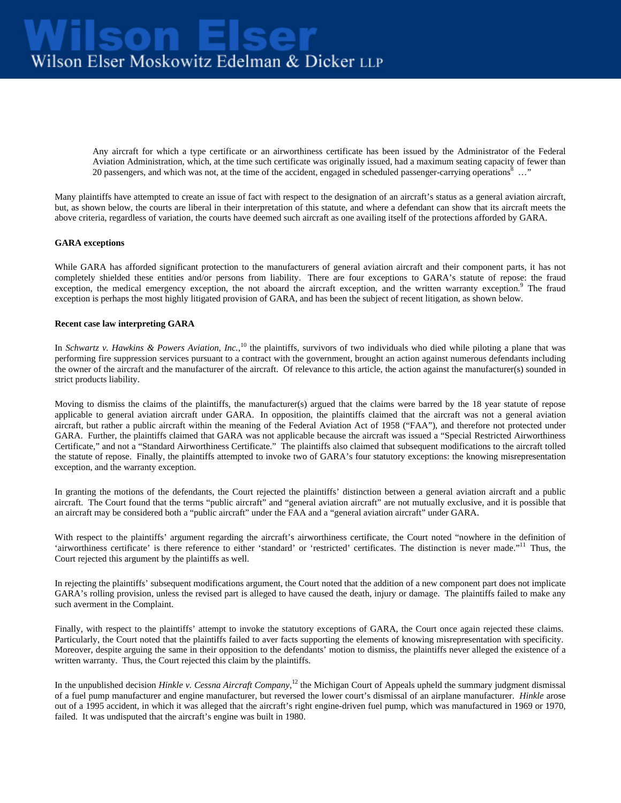Any aircraft for which a type certificate or an airworthiness certificate has been issued by the Administrator of the Federal Aviation Administration, which, at the time such certificate was originally issued, had a maximum seating capacity of fewer than 20 passengers, and which was not, at the time of the accident, engaged in scheduled passenger-carrying operations  $8...$ "

Many plaintiffs have attempted to create an issue of fact with respect to the designation of an aircraft's status as a general aviation aircraft, but, as shown below, the courts are liberal in their interpretation of this statute, and where a defendant can show that its aircraft meets the above criteria, regardless of variation, the courts have deemed such aircraft as one availing itself of the protections afforded by GARA.

#### **GARA exceptions**

While GARA has afforded significant protection to the manufacturers of general aviation aircraft and their component parts, it has not completely shielded these entities and/or persons from liability. There are four exceptions to GARA's statute of repose: the fraud exception, the medical emergency exception, the not aboard the aircraft exception, and the written warranty exception.<sup>9</sup> The fraud exception is perhaps the most highly litigated provision of GARA, and has been the subject of recent litigation, as shown below.

### **Recent case law interpreting GARA**

In *Schwartz v. Hawkins & Powers Aviation, Inc.*,<sup>10</sup> the plaintiffs, survivors of two individuals who died while piloting a plane that was performing fire suppression services pursuant to a contract with the government, brought an action against numerous defendants including the owner of the aircraft and the manufacturer of the aircraft. Of relevance to this article, the action against the manufacturer(s) sounded in strict products liability.

Moving to dismiss the claims of the plaintiffs, the manufacturer(s) argued that the claims were barred by the 18 year statute of repose applicable to general aviation aircraft under GARA. In opposition, the plaintiffs claimed that the aircraft was not a general aviation aircraft, but rather a public aircraft within the meaning of the Federal Aviation Act of 1958 ("FAA"), and therefore not protected under GARA. Further, the plaintiffs claimed that GARA was not applicable because the aircraft was issued a "Special Restricted Airworthiness Certificate," and not a "Standard Airworthiness Certificate." The plaintiffs also claimed that subsequent modifications to the aircraft tolled the statute of repose. Finally, the plaintiffs attempted to invoke two of GARA's four statutory exceptions: the knowing misrepresentation exception, and the warranty exception.

In granting the motions of the defendants, the Court rejected the plaintiffs' distinction between a general aviation aircraft and a public aircraft. The Court found that the terms "public aircraft" and "general aviation aircraft" are not mutually exclusive, and it is possible that an aircraft may be considered both a "public aircraft" under the FAA and a "general aviation aircraft" under GARA.

With respect to the plaintiffs' argument regarding the aircraft's airworthiness certificate, the Court noted "nowhere in the definition of 'airworthiness certificate' is there reference to either 'standard' or 'restricted' certificates. The distinction is never made."<sup>11</sup> Thus, the Court rejected this argument by the plaintiffs as well.

In rejecting the plaintiffs' subsequent modifications argument, the Court noted that the addition of a new component part does not implicate GARA's rolling provision, unless the revised part is alleged to have caused the death, injury or damage. The plaintiffs failed to make any such averment in the Complaint.

Finally, with respect to the plaintiffs' attempt to invoke the statutory exceptions of GARA, the Court once again rejected these claims. Particularly, the Court noted that the plaintiffs failed to aver facts supporting the elements of knowing misrepresentation with specificity. Moreover, despite arguing the same in their opposition to the defendants' motion to dismiss, the plaintiffs never alleged the existence of a written warranty. Thus, the Court rejected this claim by the plaintiffs.

In the unpublished decision *Hinkle v. Cessna Aircraft Company*, 12 the Michigan Court of Appeals upheld the summary judgment dismissal of a fuel pump manufacturer and engine manufacturer, but reversed the lower court's dismissal of an airplane manufacturer. *Hinkle* arose out of a 1995 accident, in which it was alleged that the aircraft's right engine-driven fuel pump, which was manufactured in 1969 or 1970, failed. It was undisputed that the aircraft's engine was built in 1980.